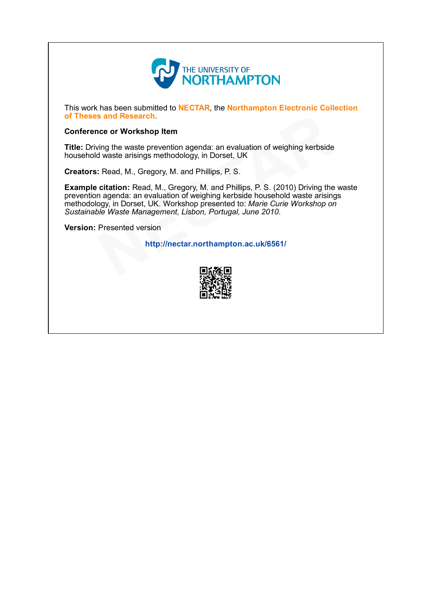

This work has been submitted to NECTAR, the Northampton Electronic Collection of Theses and Research.

# Conference or Workshop Item

Title: Driving the waste prevention agenda: an evaluation of weighing kerbside household waste arisings methodology, in Dorset, UK

Creators: Read, M., Gregory, M. and Phillips, P. S.

Example citation: Read, M., Gregory, M. and Phillips, P. S. (2010) Driving the waste prevention agenda: an evaluation of weighing kerbside household waste arisings methodology, in Dorset, UK. Workshop presented to: Marie Curie Workshop on Sustainable Waste Management, Lisbon, Portugal, June 2010. s and Research.<br>
ing the waste prevention agenda: an evaluation of weighing kerbside<br>
d waste arisings methodology, in Dorset, UK<br>
: Read, M., Gregory, M. and Phillips, P. S.<br>
citation: Read, M., Gregory, M. and Phillips,

Version: Presented version

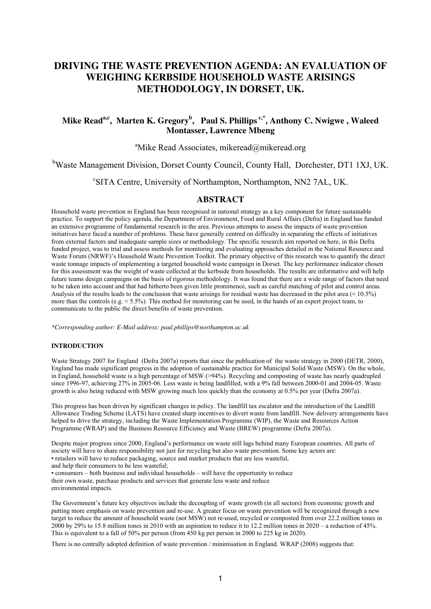# **DRIVING THE WASTE PREVENTION AGENDA: AN EVALUATION OF WEIGHING KERBSIDE HOUSEHOLD WASTE ARISINGS METHODOLOGY, IN DORSET, UK.**

# **Mike Reada,c, Marten K. Gregory<sup>b</sup> , Paul S. Phillips c,\*, Anthony C. Nwigwe , Waleed Montasser, Lawrence Mbeng**

# <sup>a</sup>Mike Read Associates, mikeread@mikeread.org

bWaste Management Division, Dorset County Council, County Hall, Dorchester, DT1 1XJ, UK.

c SITA Centre, University of Northampton, Northampton, NN2 7AL, UK.

# **ABSTRACT**

Household waste prevention in England has been recognised in national strategy as a key component for future sustainable practice. To support the policy agenda, the Department of Environment, Food and Rural Affairs (Defra) in England has funded an extensive programme of fundamental research in the area. Previous attempts to assess the impacts of waste prevention initiatives have faced a number of problems. These have generally centred on difficulty in separating the effects of initiatives from external factors and inadequate sample sizes or methodology. The specific research aim reported on here, in this Defra funded project, was to trial and assess methods for monitoring and evaluating approaches detailed in the National Resource and Waste Forum (NRWF)'s Household Waste Prevention Toolkit. The primary objective of this research was to quantify the direct waste tonnage impacts of implementing a targeted household waste campaign in Dorset. The key performance indicator chosen for this assessment was the weight of waste collected at the kerbside from households. The results are informative and will help future teams design campaigns on the basis of rigorous methodology. It was found that there are a wide range of factors that need to be taken into account and that had hitherto been given little prominence, such as careful matching of pilot and control areas. Analysis of the results leads to the conclusion that waste arisings for residual waste has decreased in the pilot area ( $\approx 10.5\%$ ) more than the controls (e.g.  $\approx$  5.5%). This method for monitoring can be used, in the hands of an expert project team, to communicate to the public the direct benefits of waste prevention.

*\*Corresponding author: E-Mail address: paul.phillips@northampton.ac.uk* 

# **INTRODUCTION**

Waste Strategy 2007 for England (Defra 2007a) reports that since the publication of the waste strategy in 2000 (DETR, 2000), England has made significant progress in the adoption of sustainable practice for Municipal Solid Waste (MSW). On the whole, in England, household waste is a high percentage of MSW (>94%). Recycling and composting of waste has nearly quadrupled since 1996-97, achieving 27% in 2005-06. Less waste is being landfilled, with a 9% fall between 2000-01 and 2004-05. Waste growth is also being reduced with MSW growing much less quickly than the economy at 0.5% per year (Defra 2007a).

This progress has been driven by significant changes in policy. The landfill tax escalator and the introduction of the Landfill Allowance Trading Scheme (LATS) have created sharp incentives to divert waste from landfill. New delivery arrangements have helped to drive the strategy, including the Waste Implementation Programme (WIP), the Waste and Resources Action Programme (WRAP) and the Business Resource Efficiency and Waste (BREW) programme (Defra 2007a).

Despite major progress since 2000, England's performance on waste still lags behind many European countries. All parts of society will have to share responsibility not just for recycling but also waste prevention. Some key actors are: • retailers will have to reduce packaging, source and market products that are less wasteful,

and help their consumers to be less wasteful;

• consumers – both business and individual households – will have the opportunity to reduce their own waste, purchase products and services that generate less waste and reduce environmental impacts.

The Government's future key objectives include the decoupling of waste growth (in all sectors) from economic growth and putting more emphasis on waste prevention and re-use. A greater focus on waste prevention will be recognized through a new target to reduce the amount of household waste (not MSW) not re-used, recycled or composted from over 22.2 million tones in 2000 by 29% to 15.8 million tones in 2010 with an aspiration to reduce it to 12.2 million tones in 2020 – a reduction of 45%. This is equivalent to a fall of 50% per person (from 450 kg per person in 2000 to 225 kg in 2020).

There is no centrally adopted definition of waste prevention / minimisation in England. WRAP (2008) suggests that: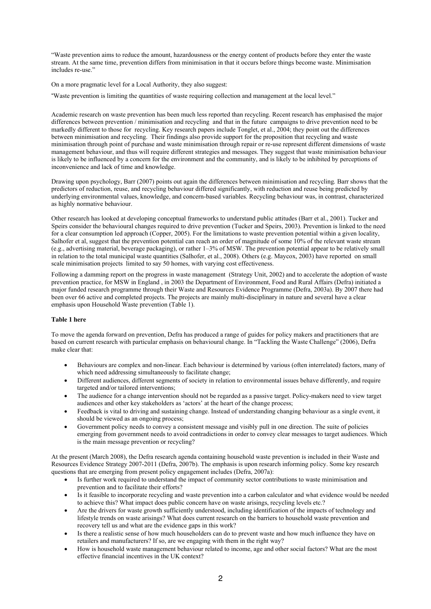"Waste prevention aims to reduce the amount, hazardousness or the energy content of products before they enter the waste stream. At the same time, prevention differs from minimisation in that it occurs before things become waste. Minimisation includes re-use."

On a more pragmatic level for a Local Authority, they also suggest:

"Waste prevention is limiting the quantities of waste requiring collection and management at the local level."

Academic research on waste prevention has been much less reported than recycling. Recent research has emphasised the major differences between prevention / minimisation and recycling and that in the future campaigns to drive prevention need to be markedly different to those for recycling. Key research papers include Tonglet, et al., 2004; they point out the differences between minimisation and recycling. Their findings also provide support for the proposition that recycling and waste minimisation through point of purchase and waste minimisation through repair or re-use represent different dimensions of waste management behaviour, and thus will require different strategies and messages. They suggest that waste minimisation behaviour is likely to be influenced by a concern for the environment and the community, and is likely to be inhibited by perceptions of inconvenience and lack of time and knowledge.

Drawing upon psychology, Barr (2007) points out again the differences between minimisation and recycling*.* Barr shows that the predictors of reduction, reuse, and recycling behaviour differed significantly, with reduction and reuse being predicted by underlying environmental values, knowledge, and concern-based variables. Recycling behaviour was, in contrast, characterized as highly normative behaviour.

Other research has looked at developing conceptual frameworks to understand public attitudes (Barr et al., 2001). Tucker and Speirs consider the behavioural changes required to drive prevention (Tucker and Speirs, 2003). Prevention is linked to the need for a clear consumption led approach (Copper, 2005). For the limitations to waste prevention potential within a given locality, Salhofer et al, suggest that the prevention potential can reach an order of magnitude of some 10% of the relevant waste stream (e.g., advertising material, beverage packaging), or rather 1–3% of MSW. The prevention potential appear to be relatively small in relation to the total municipal waste quantities (Salhofer, et al., 2008). Others (e.g. Maycox, 2003) have reported on small scale minimisation projects limited to say 50 homes, with varying cost effectiveness.

Following a damming report on the progress in waste management (Strategy Unit, 2002) and to accelerate the adoption of waste prevention practice, for MSW in England , in 2003 the Department of Environment, Food and Rural Affairs (Defra) initiated a major funded research programme through their Waste and Resources Evidence Programme (Defra, 2003a). By 2007 there had been over 66 active and completed projects. The projects are mainly multi-disciplinary in nature and several have a clear emphasis upon Household Waste prevention (Table 1).

# **Table 1 here**

To move the agenda forward on prevention, Defra has produced a range of guides for policy makers and practitioners that are based on current research with particular emphasis on behavioural change. In "Tackling the Waste Challenge" (2006), Defra make clear that:

- Behaviours are complex and non-linear. Each behaviour is determined by various (often interrelated) factors, many of which need addressing simultaneously to facilitate change;
- Different audiences, different segments of society in relation to environmental issues behave differently, and require targeted and/or tailored interventions;
- The audience for a change intervention should not be regarded as a passive target. Policy-makers need to view target audiences and other key stakeholders as 'actors' at the heart of the change process;
- Feedback is vital to driving and sustaining change. Instead of understanding changing behaviour as a single event, it should be viewed as an ongoing process;
- Government policy needs to convey a consistent message and visibly pull in one direction. The suite of policies emerging from government needs to avoid contradictions in order to convey clear messages to target audiences. Which is the main message prevention or recycling?

At the present (March 2008), the Defra research agenda containing household waste prevention is included in their Waste and Resources Evidence Strategy 2007-2011 (Defra, 2007b). The emphasis is upon research informing policy. Some key research questions that are emerging from present policy engagement includes (Defra, 2007a):

- Is further work required to understand the impact of community sector contributions to waste minimisation and prevention and to facilitate their efforts?
- Is it feasible to incorporate recycling and waste prevention into a carbon calculator and what evidence would be needed to achieve this? What impact does public concern have on waste arisings, recycling levels etc.?
- Are the drivers for waste growth sufficiently understood, including identification of the impacts of technology and lifestyle trends on waste arisings? What does current research on the barriers to household waste prevention and recovery tell us and what are the evidence gaps in this work?
- Is there a realistic sense of how much householders can do to prevent waste and how much influence they have on retailers and manufacturers? If so, are we engaging with them in the right way?
- How is household waste management behaviour related to income, age and other social factors? What are the most effective financial incentives in the UK context?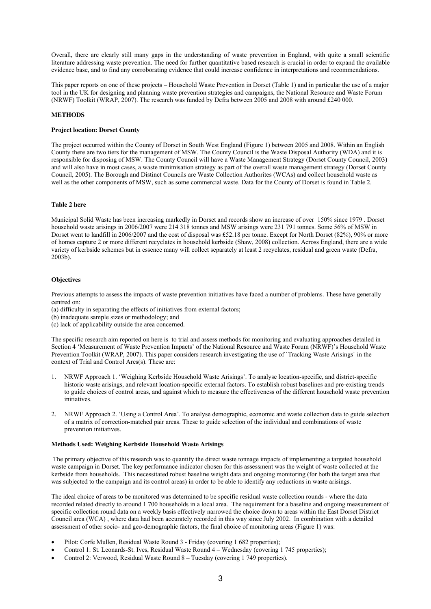Overall, there are clearly still many gaps in the understanding of waste prevention in England, with quite a small scientific literature addressing waste prevention. The need for further quantitative based research is crucial in order to expand the available evidence base, and to find any corroborating evidence that could increase confidence in interpretations and recommendations.

This paper reports on one of these projects – Household Waste Prevention in Dorset (Table 1) and in particular the use of a major tool in the UK for designing and planning waste prevention strategies and campaigns, the National Resource and Waste Forum (NRWF) Toolkit (WRAP, 2007). The research was funded by Defra between 2005 and 2008 with around £240 000.

# **METHODS**

#### **Project location: Dorset County**

The project occurred within the County of Dorset in South West England (Figure 1) between 2005 and 2008. Within an English County there are two tiers for the management of MSW. The County Council is the Waste Disposal Authority (WDA) and it is responsible for disposing of MSW. The County Council will have a Waste Management Strategy (Dorset County Council, 2003) and will also have in most cases, a waste minimisation strategy as part of the overall waste management strategy (Dorset County Council, 2005). The Borough and Distinct Councils are Waste Collection Authorites (WCAs) and collect household waste as well as the other components of MSW, such as some commercial waste. Data for the County of Dorset is found in Table 2.

#### **Table 2 here**

Municipal Solid Waste has been increasing markedly in Dorset and records show an increase of over 150% since 1979 . Dorset household waste arisings in 2006/2007 were 214 318 tonnes and MSW arisings were 231 791 tonnes. Some 56% of MSW in Dorset went to landfill in 2006/2007 and the cost of disposal was £52.18 per tonne. Except for North Dorset (82%), 90% or more of homes capture 2 or more different recyclates in household kerbside (Shaw, 2008) collection. Across England, there are a wide variety of kerbside schemes but in essence many will collect separately at least 2 recyclates, residual and green waste (Defra, 2003b).

#### **Objectives**

Previous attempts to assess the impacts of waste prevention initiatives have faced a number of problems. These have generally centred on:

- (a) difficulty in separating the effects of initiatives from external factors;
- (b) inadequate sample sizes or methodology; and
- (c) lack of applicability outside the area concerned.

The specific research aim reported on here is to trial and assess methods for monitoring and evaluating approaches detailed in Section 4 'Measurement of Waste Prevention Impacts' of the National Resource and Waste Forum (NRWF)'s Household Waste Prevention Toolkit (WRAP, 2007). This paper considers research investigating the use of `Tracking Waste Arisings` in the context of Trial and Control Ares(s). These are:

- 1. NRWF Approach 1. 'Weighing Kerbside Household Waste Arisings'. To analyse location-specific, and district-specific historic waste arisings, and relevant location-specific external factors. To establish robust baselines and pre-existing trends to guide choices of control areas, and against which to measure the effectiveness of the different household waste prevention initiatives.
- 2. NRWF Approach 2. 'Using a Control Area'. To analyse demographic, economic and waste collection data to guide selection of a matrix of correction-matched pair areas. These to guide selection of the individual and combinations of waste prevention initiatives.

# **Methods Used: Weighing Kerbside Household Waste Arisings**

 The primary objective of this research was to quantify the direct waste tonnage impacts of implementing a targeted household waste campaign in Dorset. The key performance indicator chosen for this assessment was the weight of waste collected at the kerbside from households. This necessitated robust baseline weight data and ongoing monitoring (for both the target area that was subjected to the campaign and its control areas) in order to be able to identify any reductions in waste arisings.

The ideal choice of areas to be monitored was determined to be specific residual waste collection rounds - where the data recorded related directly to around 1 700 households in a local area. The requirement for a baseline and ongoing measurement of specific collection round data on a weekly basis effectively narrowed the choice down to areas within the East Dorset District Council area (WCA) , where data had been accurately recorded in this way since July 2002. In combination with a detailed assessment of other socio- and geo-demographic factors, the final choice of monitoring areas (Figure 1) was:

- Pilot: Corfe Mullen, Residual Waste Round 3 Friday (covering 1 682 properties);
- Control 1: St. Leonards-St. Ives, Residual Waste Round 4 Wednesday (covering 1 745 properties);
- Control 2: Verwood, Residual Waste Round 8 Tuesday (covering 1 749 properties).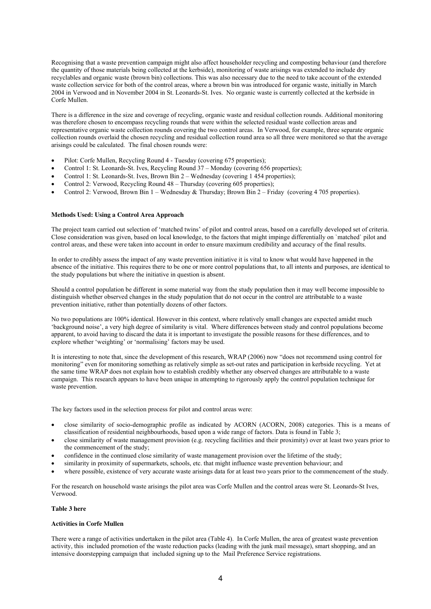Recognising that a waste prevention campaign might also affect householder recycling and composting behaviour (and therefore the quantity of those materials being collected at the kerbside), monitoring of waste arisings was extended to include dry recyclables and organic waste (brown bin) collections. This was also necessary due to the need to take account of the extended waste collection service for both of the control areas, where a brown bin was introduced for organic waste, initially in March 2004 in Verwood and in November 2004 in St. Leonards-St. Ives. No organic waste is currently collected at the kerbside in Corfe Mullen.

There is a difference in the size and coverage of recycling, organic waste and residual collection rounds. Additional monitoring was therefore chosen to encompass recycling rounds that were within the selected residual waste collection areas and representative organic waste collection rounds covering the two control areas. In Verwood, for example, three separate organic collection rounds overlaid the chosen recycling and residual collection round area so all three were monitored so that the average arisings could be calculated. The final chosen rounds were:

- Pilot: Corfe Mullen, Recycling Round 4 Tuesday (covering 675 properties);
- Control 1: St. Leonards-St. Ives, Recycling Round 37 Monday (covering 656 properties);
- Control 1: St. Leonards-St. Ives, Brown Bin 2 Wednesday (covering 1 454 properties);
- Control 2: Verwood, Recycling Round 48 Thursday (covering 605 properties);
- Control 2: Verwood, Brown Bin 1 Wednesday & Thursday; Brown Bin 2 Friday (covering 4 705 properties).

#### **Methods Used: Using a Control Area Approach**

The project team carried out selection of 'matched twins' of pilot and control areas, based on a carefully developed set of criteria. Close consideration was given, based on local knowledge, to the factors that might impinge differentially on `matched` pilot and control areas, and these were taken into account in order to ensure maximum credibility and accuracy of the final results.

In order to credibly assess the impact of any waste prevention initiative it is vital to know what would have happened in the absence of the initiative. This requires there to be one or more control populations that, to all intents and purposes, are identical to the study populations but where the initiative in question is absent.

Should a control population be different in some material way from the study population then it may well become impossible to distinguish whether observed changes in the study population that do not occur in the control are attributable to a waste prevention initiative, rather than potentially dozens of other factors.

No two populations are 100% identical. However in this context, where relatively small changes are expected amidst much 'background noise', a very high degree of similarity is vital. Where differences between study and control populations become apparent, to avoid having to discard the data it is important to investigate the possible reasons for these differences, and to explore whether 'weighting' or 'normalising' factors may be used.

It is interesting to note that, since the development of this research, WRAP (2006) now "does not recommend using control for monitoring" even for monitoring something as relatively simple as set-out rates and participation in kerbside recycling. Yet at the same time WRAP does not explain how to establish credibly whether any observed changes are attributable to a waste campaign. This research appears to have been unique in attempting to rigorously apply the control population technique for waste prevention.

The key factors used in the selection process for pilot and control areas were:

- close similarity of socio-demographic profile as indicated by ACORN (ACORN, 2008) categories. This is a means of classification of residential neighbourhoods, based upon a wide range of factors. Data is found in Table 3;
- close similarity of waste management provision (e.g. recycling facilities and their proximity) over at least two years prior to the commencement of the study;
- confidence in the continued close similarity of waste management provision over the lifetime of the study;
- similarity in proximity of supermarkets, schools, etc. that might influence waste prevention behaviour; and
- where possible, existence of very accurate waste arisings data for at least two years prior to the commencement of the study.

For the research on household waste arisings the pilot area was Corfe Mullen and the control areas were St. Leonards-St Ives, Verwood.

# **Table 3 here**

#### **Activities in Corfe Mullen**

There were a range of activities undertaken in the pilot area (Table 4). In Corfe Mullen, the area of greatest waste prevention activity, this included promotion of the waste reduction packs (leading with the junk mail message), smart shopping, and an intensive doorstepping campaign that included signing up to the Mail Preference Service registrations.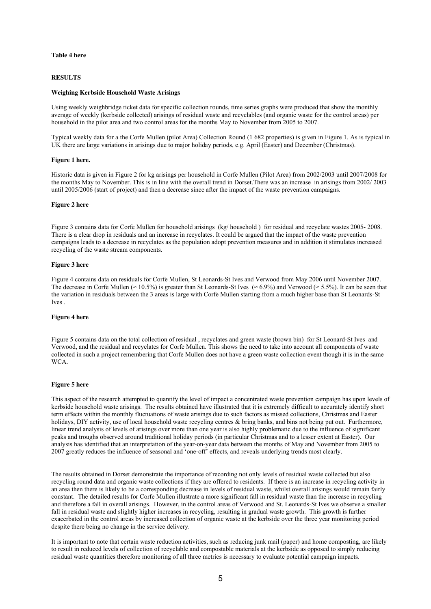#### **Table 4 here**

#### **RESULTS**

#### **Weighing Kerbside Household Waste Arisings**

Using weekly weighbridge ticket data for specific collection rounds, time series graphs were produced that show the monthly average of weekly (kerbside collected) arisings of residual waste and recyclables (and organic waste for the control areas) per household in the pilot area and two control areas for the months May to November from 2005 to 2007.

Typical weekly data for a the Corfe Mullen (pilot Area) Collection Round (1 682 properties) is given in Figure 1. As is typical in UK there are large variations in arisings due to major holiday periods, e.g. April (Easter) and December (Christmas).

#### **Figure 1 here.**

Historic data is given in Figure 2 for kg arisings per household in Corfe Mullen (Pilot Area) from 2002/2003 until 2007/2008 for the months May to November. This is in line with the overall trend in Dorset.There was an increase in arisings from 2002/ 2003 until 2005/2006 (start of project) and then a decrease since after the impact of the waste prevention campaigns.

#### **Figure 2 here**

Figure 3 contains data for Corfe Mullen for household arisings (kg/ household) for residual and recyclate wastes 2005- 2008. There is a clear drop in residuals and an increase in recyclates. It could be argued that the impact of the waste prevention campaigns leads to a decrease in recyclates as the population adopt prevention measures and in addition it stimulates increased recycling of the waste stream components.

# **Figure 3 here**

Figure 4 contains data on residuals for Corfe Mullen, St Leonards-St Ives and Verwood from May 2006 until November 2007. The decrease in Corfe Mullen (≈ 10.5%) is greater than St Leonards-St Ives (≈ 6.9%) and Verwood (≈ 5.5%). It can be seen that the variation in residuals between the 3 areas is large with Corfe Mullen starting from a much higher base than St Leonards-St Ives .

#### **Figure 4 here**

Figure 5 contains data on the total collection of residual , recyclates and green waste (brown bin) for St Leonard-St Ives and Verwood, and the residual and recyclates for Corfe Mullen. This shows the need to take into account all components of waste collected in such a project remembering that Corfe Mullen does not have a green waste collection event though it is in the same W<sub>C</sub>A

#### **Figure 5 here**

This aspect of the research attempted to quantify the level of impact a concentrated waste prevention campaign has upon levels of kerbside household waste arisings. The results obtained have illustrated that it is extremely difficult to accurately identify short term effects within the monthly fluctuations of waste arisings due to such factors as missed collections, Christmas and Easter holidays, DIY activity, use of local household waste recycling centres & bring banks, and bins not being put out. Furthermore, linear trend analysis of levels of arisings over more than one year is also highly problematic due to the influence of significant peaks and troughs observed around traditional holiday periods (in particular Christmas and to a lesser extent at Easter). Our analysis has identified that an interpretation of the year-on-year data between the months of May and November from 2005 to 2007 greatly reduces the influence of seasonal and 'one-off' effects, and reveals underlying trends most clearly.

The results obtained in Dorset demonstrate the importance of recording not only levels of residual waste collected but also recycling round data and organic waste collections if they are offered to residents. If there is an increase in recycling activity in an area then there is likely to be a corresponding decrease in levels of residual waste, whilst overall arisings would remain fairly constant. The detailed results for Corfe Mullen illustrate a more significant fall in residual waste than the increase in recycling and therefore a fall in overall arisings. However, in the control areas of Verwood and St. Leonards-St Ives we observe a smaller fall in residual waste and slightly higher increases in recycling, resulting in gradual waste growth. This growth is further exacerbated in the control areas by increased collection of organic waste at the kerbside over the three year monitoring period despite there being no change in the service delivery.

It is important to note that certain waste reduction activities, such as reducing junk mail (paper) and home composting, are likely to result in reduced levels of collection of recyclable and compostable materials at the kerbside as opposed to simply reducing residual waste quantities therefore monitoring of all three metrics is necessary to evaluate potential campaign impacts.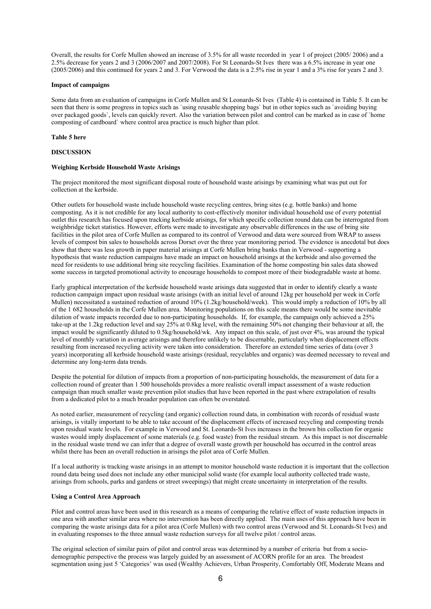Overall, the results for Corfe Mullen showed an increase of 3.5% for all waste recorded in year 1 of project (2005/ 2006) and a 2.5% decrease for years 2 and 3 (2006/2007 and 2007/2008). For St Leonards-St Ives there was a 6.5% increase in year one (2005/2006) and this continued for years 2 and 3. For Verwood the data is a 2.5% rise in year 1 and a 3% rise for years 2 and 3.

#### **Impact of campaigns**

Some data from an evaluation of campaigns in Corfe Mullen and St Leonards-St Ives (Table 4) is contained in Table 5. It can be seen that there is some progress in topics such as `using reusable shopping bags` but in other topics such as `avoiding buying over packaged goods`, levels can quickly revert. Also the variation between pilot and control can be marked as in case of `home composting of cardboard` where control area practice is much higher than pilot.

#### **Table 5 here**

#### **DISCUSSION**

#### **Weighing Kerbside Household Waste Arisings**

The project monitored the most significant disposal route of household waste arisings by examining what was put out for collection at the kerbside.

Other outlets for household waste include household waste recycling centres, bring sites (e.g. bottle banks) and home composting. As it is not credible for any local authority to cost-effectively monitor individual household use of every potential outlet this research has focused upon tracking kerbside arisings, for which specific collection round data can be interrogated from weighbridge ticket statistics. However, efforts were made to investigate any observable differences in the use of bring site facilities in the pilot area of Corfe Mullen as compared to its control of Verwood and data were sourced from WRAP to assess levels of compost bin sales to households across Dorset over the three year monitoring period. The evidence is anecdotal but does show that there was less growth in paper material arisings at Corfe Mullen bring banks than in Verwood - supporting a hypothesis that waste reduction campaigns have made an impact on household arisings at the kerbside and also governed the need for residents to use additional bring site recycling facilities. Examination of the home composting bin sales data showed some success in targeted promotional activity to encourage households to compost more of their biodegradable waste at home.

Early graphical interpretation of the kerbside household waste arisings data suggested that in order to identify clearly a waste reduction campaign impact upon residual waste arisings (with an initial level of around 12kg per household per week in Corfe Mullen) necessitated a sustained reduction of around 10% (1.2kg/household/week). This would imply a reduction of 10% by all of the 1 682 households in the Corfe Mullen area. Monitoring populations on this scale means there would be some inevitable dilution of waste impacts recorded due to non-participating households. If, for example, the campaign only achieved a 25% take-up at the 1.2kg reduction level and say 25% at 0.8kg level, with the remaining 50% not changing their behaviour at all, the impact would be significantly diluted to 0.5kg/household/wk. Any impact on this scale, of just over 4%, was around the typical level of monthly variation in average arisings and therefore unlikely to be discernable, particularly when displacement effects resulting from increased recycling activity were taken into consideration. Therefore an extended time series of data (over 3 years) incorporating all kerbside household waste arisings (residual, recyclables and organic) was deemed necessary to reveal and determine any long-term data trends.

Despite the potential for dilution of impacts from a proportion of non-participating households, the measurement of data for a collection round of greater than 1 500 households provides a more realistic overall impact assessment of a waste reduction campaign than much smaller waste prevention pilot studies that have been reported in the past where extrapolation of results from a dedicated pilot to a much broader population can often be overstated.

As noted earlier, measurement of recycling (and organic) collection round data, in combination with records of residual waste arisings, is vitally important to be able to take account of the displacement effects of increased recycling and composting trends upon residual waste levels. For example in Verwood and St. Leonards-St Ives increases in the brown bin collection for organic wastes would imply displacement of some materials (e.g. food waste) from the residual stream. As this impact is not discernable in the residual waste trend we can infer that a degree of overall waste growth per household has occurred in the control areas whilst there has been an overall reduction in arisings the pilot area of Corfe Mullen.

If a local authority is tracking waste arisings in an attempt to monitor household waste reduction it is important that the collection round data being used does not include any other municipal solid waste (for example local authority collected trade waste, arisings from schools, parks and gardens or street sweepings) that might create uncertainty in interpretation of the results.

#### **Using a Control Area Approach**

Pilot and control areas have been used in this research as a means of comparing the relative effect of waste reduction impacts in one area with another similar area where no intervention has been directly applied. The main uses of this approach have been in comparing the waste arisings data for a pilot area (Corfe Mullen) with two control areas (Verwood and St. Leonards-St Ives) and in evaluating responses to the three annual waste reduction surveys for all twelve pilot / control areas.

The original selection of similar pairs of pilot and control areas was determined by a number of criteria but from a sociodemographic perspective the process was largely guided by an assessment of ACORN profile for an area. The broadest segmentation using just 5 'Categories' was used (Wealthy Achievers, Urban Prosperity, Comfortably Off, Moderate Means and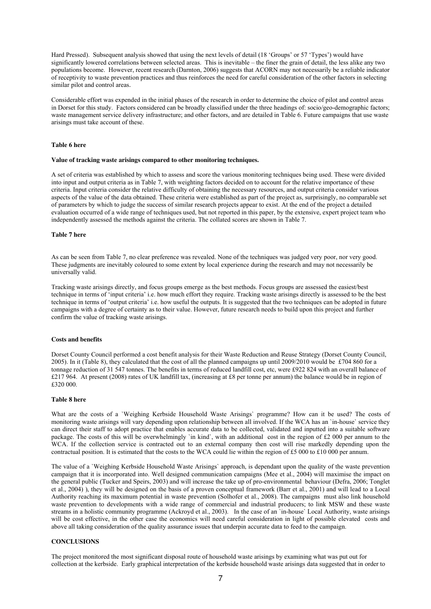Hard Pressed). Subsequent analysis showed that using the next levels of detail (18 'Groups' or 57 'Types') would have significantly lowered correlations between selected areas. This is inevitable – the finer the grain of detail, the less alike any two populations become. However, recent research (Darnton, 2006) suggests that ACORN may not necessarily be a reliable indicator of receptivity to waste prevention practices and thus reinforces the need for careful consideration of the other factors in selecting similar pilot and control areas.

Considerable effort was expended in the initial phases of the research in order to determine the choice of pilot and control areas in Dorset for this study. Factors considered can be broadly classified under the three headings of: socio/geo-demographic factors; waste management service delivery infrastructure; and other factors, and are detailed in Table 6. Future campaigns that use waste arisings must take account of these.

#### **Table 6 here**

#### **Value of tracking waste arisings compared to other monitoring techniques.**

A set of criteria was established by which to assess and score the various monitoring techniques being used. These were divided into input and output criteria as in Table 7, with weighting factors decided on to account for the relative importance of these criteria. Input criteria consider the relative difficulty of obtaining the necessary resources, and output criteria consider various aspects of the value of the data obtained. These criteria were established as part of the project as, surprisingly, no comparable set of parameters by which to judge the success of similar research projects appear to exist. At the end of the project a detailed evaluation occurred of a wide range of techniques used, but not reported in this paper, by the extensive, expert project team who independently assessed the methods against the criteria. The collated scores are shown in Table 7.

#### **Table 7 here**

As can be seen from Table 7, no clear preference was revealed. None of the techniques was judged very poor, nor very good. These judgments are inevitably coloured to some extent by local experience during the research and may not necessarily be universally valid.

Tracking waste arisings directly, and focus groups emerge as the best methods. Focus groups are assessed the easiest/best technique in terms of 'input criteria' i.e. how much effort they require. Tracking waste arisings directly is assessed to be the best technique in terms of 'output criteria' i.e. how useful the outputs. It is suggested that the two techniques can be adopted in future campaigns with a degree of certainty as to their value. However, future research needs to build upon this project and further confirm the value of tracking waste arisings.

#### **Costs and benefits**

Dorset County Council performed a cost benefit analysis for their Waste Reduction and Reuse Strategy (Dorset County Council, 2005). In it (Table 8), they calculated that the cost of all the planned campaigns up until 2009/2010 would be £704 860 for a tonnage reduction of 31 547 tonnes. The benefits in terms of reduced landfill cost, etc, were £922 824 with an overall balance of £217 964. At present (2008) rates of UK landfill tax, (increasing at £8 per tonne per annum) the balance would be in region of £320 000.

# **Table 8 here**

What are the costs of a `Weighing Kerbside Household Waste Arisings` programme? How can it be used? The costs of monitoring waste arisings will vary depending upon relationship between all involved. If the WCA has an `in-house` service they can direct their staff to adopt practice that enables accurate data to be collected, validated and inputted into a suitable software package. The costs of this will be overwhelmingly 'in kind', with an additional cost in the region of £2 000 per annum to the WCA. If the collection service is contracted out to an external company then cost will rise markedly depending upon the contractual position. It is estimated that the costs to the WCA could lie within the region of £5 000 to £10 000 per annum.

The value of a `Weighing Kerbside Household Waste Arisings` approach, is dependant upon the quality of the waste prevention campaign that it is incorporated into. Well designed communication campaigns (Mee et al., 2004) will maximise the impact on the general public (Tucker and Speirs, 2003) and will increase the take up of pro-environmental behaviour (Defra, 2006; Tonglet et al., 2004) ), they will be designed on the basis of a proven conceptual framework (Barr et al., 2001) and will lead to a Local Authority reaching its maximum potential in waste prevention (Solhofer et al., 2008). The campaigns must also link household waste prevention to developments with a wide range of commercial and industrial producers; to link MSW and these waste streams in a holistic community programme (Ackroyd et al., 2003). In the case of an `in-house` Local Authority, waste arisings will be cost effective, in the other case the economics will need careful consideration in light of possible elevated costs and above all taking consideration of the quality assurance issues that underpin accurate data to feed to the campaign.

# **CONCLUSIONS**

The project monitored the most significant disposal route of household waste arisings by examining what was put out for collection at the kerbside. Early graphical interpretation of the kerbside household waste arisings data suggested that in order to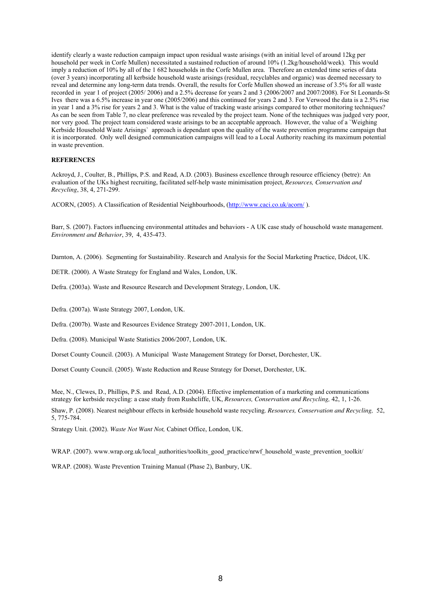identify clearly a waste reduction campaign impact upon residual waste arisings (with an initial level of around 12kg per household per week in Corfe Mullen) necessitated a sustained reduction of around 10% (1.2kg/household/week). This would imply a reduction of 10% by all of the 1 682 households in the Corfe Mullen area. Therefore an extended time series of data (over 3 years) incorporating all kerbside household waste arisings (residual, recyclables and organic) was deemed necessary to reveal and determine any long-term data trends. Overall, the results for Corfe Mullen showed an increase of 3.5% for all waste recorded in year 1 of project (2005/ 2006) and a 2.5% decrease for years 2 and 3 (2006/2007 and 2007/2008). For St Leonards-St Ives there was a 6.5% increase in year one (2005/2006) and this continued for years 2 and 3. For Verwood the data is a 2.5% rise in year 1 and a 3% rise for years 2 and 3. What is the value of tracking waste arisings compared to other monitoring techniques? As can be seen from Table 7, no clear preference was revealed by the project team. None of the techniques was judged very poor, nor very good. The project team considered waste arisings to be an acceptable approach. However, the value of a `Weighing Kerbside Household Waste Arisings` approach is dependant upon the quality of the waste prevention programme campaign that it is incorporated. Only well designed communication campaigns will lead to a Local Authority reaching its maximum potential in waste prevention.

#### **REFERENCES**

Ackroyd, J., Coulter, B., Phillips, P.S. and Read, A.D. (2003). Business excellence through resource efficiency (betre): An evaluation of the UKs highest recruiting, facilitated self-help waste minimisation project, *Resources, Conservation and Recycling*, 38, 4, 271-299.

ACORN, (2005). A Classification of Residential Neighbourhoods, (http://www.caci.co.uk/acorn/ ).

Barr, S. (2007). Factors influencing environmental attitudes and behaviors - A UK case study of household waste management. *Environment and Behavior*, 39, 4, 435-473.

Darnton, A. (2006). Segmenting for Sustainability. Research and Analysis for the Social Marketing Practice, Didcot, UK.

DETR. (2000). A Waste Strategy for England and Wales, London, UK.

Defra. (2003a). Waste and Resource Research and Development Strategy, London, UK.

Defra. (2007a). Waste Strategy 2007, London, UK.

Defra. (2007b). Waste and Resources Evidence Strategy 2007-2011, London, UK.

Defra. (2008). Municipal Waste Statistics 2006/2007, London, UK.

Dorset County Council. (2003). A Municipal Waste Management Strategy for Dorset, Dorchester, UK.

Dorset County Council. (2005). Waste Reduction and Reuse Strategy for Dorset, Dorchester, UK.

Mee, N., Clewes, D., Phillips, P.S. and Read, A.D. (2004). Effective implementation of a marketing and communications strategy for kerbside recycling: a case study from Rushcliffe, UK, *Resources, Conservation and Recycling,* 42, 1, 1-26.

Shaw, P. (2008). Nearest neighbour effects in kerbside household waste recycling. *Resources, Conservation and Recycling,* 52, 5, 775-784.

Strategy Unit. (2002). *Waste Not Want Not,* Cabinet Office, London, UK.

WRAP. (2007). www.wrap.org.uk/local\_authorities/toolkits\_good\_practice/nrwf\_household\_waste\_prevention\_toolkit/

WRAP. (2008). Waste Prevention Training Manual (Phase 2), Banbury, UK.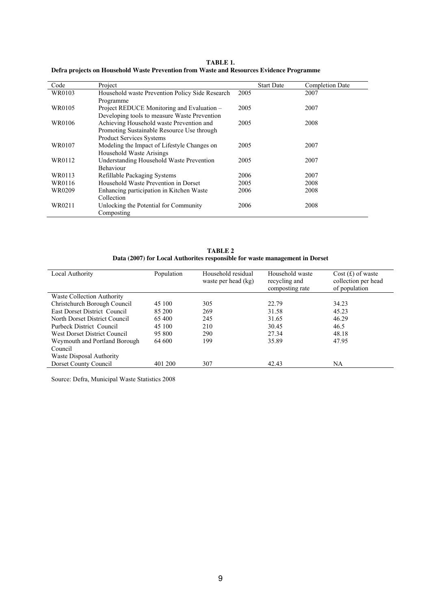**TABLE 1. Defra projects on Household Waste Prevention from Waste and Resources Evidence Programme** 

| Code   | Project                                                                                                                   | <b>Start Date</b> | <b>Completion Date</b> |
|--------|---------------------------------------------------------------------------------------------------------------------------|-------------------|------------------------|
| WR0103 | Household waste Prevention Policy Side Research<br>Programme                                                              | 2005              | 2007                   |
| WR0105 | Project REDUCE Monitoring and Evaluation -<br>Developing tools to measure Waste Prevention                                | 2005              | 2007                   |
| WR0106 | Achieving Household waste Prevention and<br>Promoting Sustainable Resource Use through<br><b>Product Services Systems</b> | 2005              | 2008                   |
| WR0107 | Modeling the Impact of Lifestyle Changes on<br>Household Waste Arisings                                                   | 2005              | 2007                   |
| WR0112 | Understanding Household Waste Prevention<br><b>Behaviour</b>                                                              | 2005              | 2007                   |
| WR0113 | Refillable Packaging Systems                                                                                              | 2006              | 2007                   |
| WR0116 | Household Waste Prevention in Dorset                                                                                      | 2005              | 2008                   |
| WR0209 | Enhancing participation in Kitchen Waste<br>Collection                                                                    | 2006              | 2008                   |
| WR0211 | Unlocking the Potential for Community<br>Composting                                                                       | 2006              | 2008                   |

**TABLE 2 Data (2007) for Local Authorites responsible for waste management in Dorset** 

| Local Authority                     | Population | Household residual<br>waste per head (kg) | Household waste<br>recycling and<br>composting rate | $Cost(f)$ of waste<br>collection per head<br>of population |
|-------------------------------------|------------|-------------------------------------------|-----------------------------------------------------|------------------------------------------------------------|
| Waste Collection Authority          |            |                                           |                                                     |                                                            |
| Christchurch Borough Council        | 45 100     | 305                                       | 22.79                                               | 34.23                                                      |
| <b>East Dorset District Council</b> | 85 200     | 269                                       | 31.58                                               | 45.23                                                      |
| North Dorset District Council       | 65 400     | 245                                       | 31.65                                               | 46.29                                                      |
| Purbeck District Council            | 45 100     | 210                                       | 30.45                                               | 46.5                                                       |
| West Dorset District Council        | 95 800     | 290                                       | 27.34                                               | 48.18                                                      |
| Weymouth and Portland Borough       | 64 600     | 199                                       | 35.89                                               | 47.95                                                      |
| Council                             |            |                                           |                                                     |                                                            |
| Waste Disposal Authority            |            |                                           |                                                     |                                                            |
| Dorset County Council               | 401 200    | 307                                       | 42.43                                               | NA                                                         |

Source: Defra, Municipal Waste Statistics 2008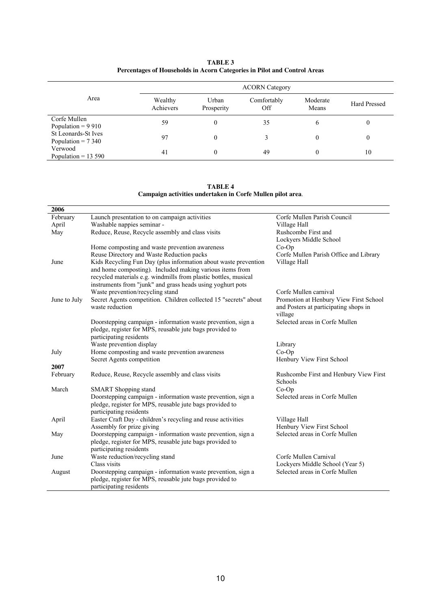| TABLE 3                                                                  |
|--------------------------------------------------------------------------|
| Percentages of Households in Acorn Categories in Pilot and Control Areas |

|                                              | <b>ACORN</b> Category |                     |                    |                   |                     |  |
|----------------------------------------------|-----------------------|---------------------|--------------------|-------------------|---------------------|--|
| Area                                         | Wealthy<br>Achievers  | Urban<br>Prosperity | Comfortably<br>Off | Moderate<br>Means | <b>Hard Pressed</b> |  |
| Corfe Mullen<br>Population = $9910$          | 59                    | 0                   | 35                 | O                 |                     |  |
| St Leonards-St Ives<br>Population = $7\,340$ | 97                    | $\theta$            |                    | $\boldsymbol{0}$  |                     |  |
| Verwood<br>Population = $13,590$             | 41                    | $\mathbf{0}$        | 49                 | 0                 | 10                  |  |

**TABLE 4 Campaign activities undertaken in Corfe Mullen pilot area**.

| 2006         |                                                                                                                                                                                                                                                              |                                                                                            |
|--------------|--------------------------------------------------------------------------------------------------------------------------------------------------------------------------------------------------------------------------------------------------------------|--------------------------------------------------------------------------------------------|
| February     | Launch presentation to on campaign activities                                                                                                                                                                                                                | Corfe Mullen Parish Council                                                                |
| April        | Washable nappies seminar -                                                                                                                                                                                                                                   | Village Hall                                                                               |
| May          | Reduce, Reuse, Recycle assembly and class visits                                                                                                                                                                                                             | Rushcombe First and                                                                        |
|              |                                                                                                                                                                                                                                                              | Lockyers Middle School                                                                     |
|              | Home composting and waste prevention awareness                                                                                                                                                                                                               | $Co-Op$                                                                                    |
|              | Reuse Directory and Waste Reduction packs                                                                                                                                                                                                                    | Corfe Mullen Parish Office and Library                                                     |
| June         | Kids Recycling Fun Day (plus information about waste prevention<br>and home composting). Included making various items from<br>recycled materials e.g. windmills from plastic bottles, musical<br>instruments from "junk" and grass heads using yoghurt pots | Village Hall                                                                               |
|              | Waste prevention/recycling stand                                                                                                                                                                                                                             | Corfe Mullen carnival                                                                      |
| June to July | Secret Agents competition. Children collected 15 "secrets" about<br>waste reduction                                                                                                                                                                          | Promotion at Henbury View First School<br>and Posters at participating shops in<br>village |
|              | Doorstepping campaign - information waste prevention, sign a<br>pledge, register for MPS, reusable jute bags provided to<br>participating residents                                                                                                          | Selected areas in Corfe Mullen                                                             |
|              | Waste prevention display                                                                                                                                                                                                                                     | Library                                                                                    |
| July         | Home composting and waste prevention awareness                                                                                                                                                                                                               | $Co-Op$                                                                                    |
|              | Secret Agents competition                                                                                                                                                                                                                                    | Henbury View First School                                                                  |
| 2007         |                                                                                                                                                                                                                                                              |                                                                                            |
| February     | Reduce, Reuse, Recycle assembly and class visits                                                                                                                                                                                                             | Rushcombe First and Henbury View First<br>Schools                                          |
| March        | <b>SMART</b> Shopping stand                                                                                                                                                                                                                                  | $Co-Op$                                                                                    |
|              | Doorstepping campaign - information waste prevention, sign a<br>pledge, register for MPS, reusable jute bags provided to<br>participating residents                                                                                                          | Selected areas in Corfe Mullen                                                             |
| April        | Easter Craft Day - children's recycling and reuse activities                                                                                                                                                                                                 | Village Hall                                                                               |
|              | Assembly for prize giving                                                                                                                                                                                                                                    | Henbury View First School                                                                  |
| May          | Doorstepping campaign - information waste prevention, sign a                                                                                                                                                                                                 | Selected areas in Corfe Mullen                                                             |
|              | pledge, register for MPS, reusable jute bags provided to<br>participating residents                                                                                                                                                                          |                                                                                            |
| June         | Waste reduction/recycling stand                                                                                                                                                                                                                              | Corfe Mullen Carnival                                                                      |
|              | Class visits                                                                                                                                                                                                                                                 | Lockyers Middle School (Year 5)                                                            |
| August       | Doorstepping campaign - information waste prevention, sign a<br>pledge, register for MPS, reusable jute bags provided to<br>participating residents                                                                                                          | Selected areas in Corfe Mullen                                                             |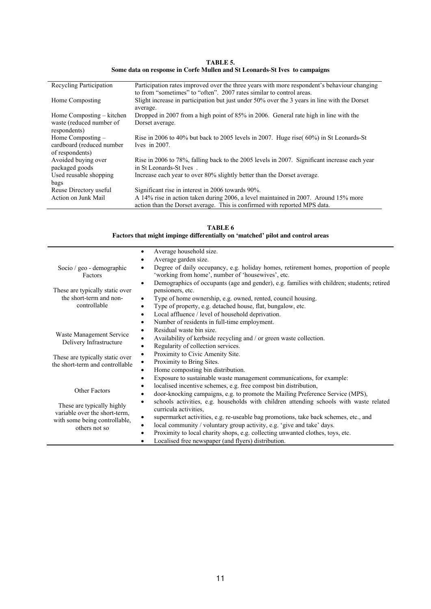**TABLE 5. Some data on response in Corfe Mullen and St Leonards**-**St Ives to campaigns** 

| Recycling Participation                                               | Participation rates improved over the three years with more respondent's behaviour changing<br>to from "sometimes" to "often". 2007 rates similar to control areas. |
|-----------------------------------------------------------------------|---------------------------------------------------------------------------------------------------------------------------------------------------------------------|
| Home Composting                                                       | Slight increase in participation but just under 50% over the 3 years in line with the Dorset<br>average.                                                            |
| Home Composting – kitchen<br>waste (reduced number of<br>respondents) | Dropped in 2007 from a high point of 85% in 2006. General rate high in line with the<br>Dorset average.                                                             |
| Home Composting –<br>cardboard (reduced number<br>of respondents)     | Rise in 2006 to 40% but back to 2005 levels in 2007. Huge rise( $60\%$ ) in St Leonards-St<br>Ives in $2007$ .                                                      |
| Avoided buying over<br>packaged goods                                 | Rise in 2006 to 78%, falling back to the 2005 levels in 2007. Significant increase each year<br>in St Leonards-St Ives.                                             |
| Used reusable shopping<br>bags                                        | Increase each year to over 80% slightly better than the Dorset average.                                                                                             |
| Reuse Directory useful                                                | Significant rise in interest in 2006 towards 90%.                                                                                                                   |
| Action on Junk Mail                                                   | A 14% rise in action taken during 2006, a level maintained in 2007. Around 15% more<br>action than the Dorset average. This is confirmed with reported MPS data.    |

| TABLE 6<br>Factors that might impinge differentially on 'matched' pilot and control areas |                                                                                                                                            |  |  |  |
|-------------------------------------------------------------------------------------------|--------------------------------------------------------------------------------------------------------------------------------------------|--|--|--|
|                                                                                           | Average household size.<br>$\bullet$                                                                                                       |  |  |  |
|                                                                                           | Average garden size.                                                                                                                       |  |  |  |
| Socio / $geo - demographic$<br>Factors                                                    | Degree of daily occupancy, e.g. holiday homes, retirement homes, proportion of people<br>'working from home', number of 'housewives', etc. |  |  |  |
|                                                                                           | Demographics of occupants (age and gender), e.g. families with children; students; retired<br>$\bullet$                                    |  |  |  |
| These are typically static over                                                           | pensioners, etc.                                                                                                                           |  |  |  |
| the short-term and non-                                                                   | Type of home ownership, e.g. owned, rented, council housing.<br>$\bullet$                                                                  |  |  |  |
| controllable                                                                              | Type of property, e.g. detached house, flat, bungalow, etc.<br>٠                                                                           |  |  |  |
|                                                                                           | Local affluence / level of household deprivation.<br>$\bullet$                                                                             |  |  |  |
|                                                                                           | Number of residents in full-time employment.<br>٠                                                                                          |  |  |  |
|                                                                                           | Residual waste bin size.<br>٠                                                                                                              |  |  |  |
| Waste Management Service                                                                  | Availability of kerbside recycling and / or green waste collection.                                                                        |  |  |  |
| Delivery Infrastructure                                                                   | Regularity of collection services.                                                                                                         |  |  |  |
| These are typically static over                                                           | Proximity to Civic Amenity Site.                                                                                                           |  |  |  |
| the short-term and controllable                                                           | Proximity to Bring Sites.                                                                                                                  |  |  |  |
|                                                                                           | Home composting bin distribution.                                                                                                          |  |  |  |
|                                                                                           | Exposure to sustainable waste management communications, for example:                                                                      |  |  |  |
|                                                                                           | localised incentive schemes, e.g. free compost bin distribution,                                                                           |  |  |  |
| <b>Other Factors</b>                                                                      | door-knocking campaigns, e.g. to promote the Mailing Preference Service (MPS),                                                             |  |  |  |
| These are typically highly<br>variable over the short-term,                               | schools activities, e.g. households with children attending schools with waste related<br>curricula activities,                            |  |  |  |
| with some being controllable,                                                             | supermarket activities, e.g. re-useable bag promotions, take back schemes, etc., and                                                       |  |  |  |
| others not so                                                                             | local community / voluntary group activity, e.g. 'give and take' days.                                                                     |  |  |  |
|                                                                                           | Proximity to local charity shops, e.g. collecting unwanted clothes, toys, etc.<br>$\bullet$                                                |  |  |  |
|                                                                                           | Localised free newspaper (and flyers) distribution.<br>$\bullet$                                                                           |  |  |  |

**TABLE 6**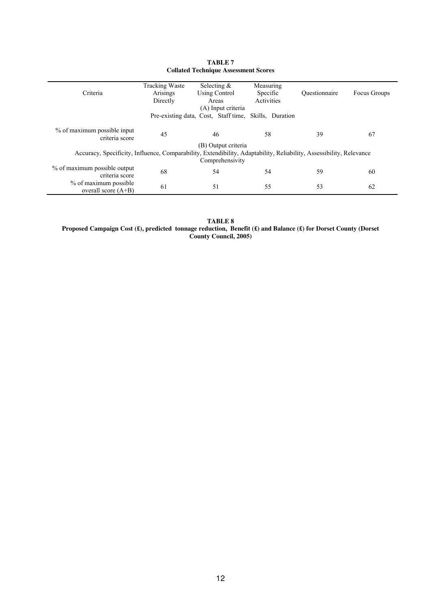|                                                                                                                     | <b>Tracking Waste</b> | Selecting $\&$                                        | Measuring  |               |              |
|---------------------------------------------------------------------------------------------------------------------|-----------------------|-------------------------------------------------------|------------|---------------|--------------|
| Criteria                                                                                                            | Arisings              | <b>Using Control</b>                                  | Specific   | Ouestionnaire | Focus Groups |
|                                                                                                                     | Directly              | Areas                                                 | Activities |               |              |
|                                                                                                                     |                       | (A) Input criteria                                    |            |               |              |
|                                                                                                                     |                       | Pre-existing data, Cost, Staff time, Skills, Duration |            |               |              |
|                                                                                                                     |                       |                                                       |            |               |              |
| % of maximum possible input                                                                                         | 45                    | 46                                                    | 58         | 39            | 67           |
| criteria score                                                                                                      |                       |                                                       |            |               |              |
|                                                                                                                     |                       | (B) Output criteria                                   |            |               |              |
| Accuracy, Specificity, Influence, Comparability, Extendibility, Adaptability, Reliability, Assessibility, Relevance |                       |                                                       |            |               |              |
|                                                                                                                     |                       | Comprehensivity                                       |            |               |              |
| % of maximum possible output                                                                                        | 68                    | 54                                                    | 54         | 59            | 60           |
| criteria score                                                                                                      |                       |                                                       |            |               |              |
| % of maximum possible                                                                                               | 61                    | 51                                                    | 55         | 53            | 62           |
| overall score $(A+B)$                                                                                               |                       |                                                       |            |               |              |

| TABLE 7                                     |
|---------------------------------------------|
| <b>Collated Technique Assessment Scores</b> |

**TABLE 8 Proposed Campaign Cost (£), predicted tonnage reduction, Benefit (£) and Balance (£) for Dorset County (Dorset County Council, 2005)**